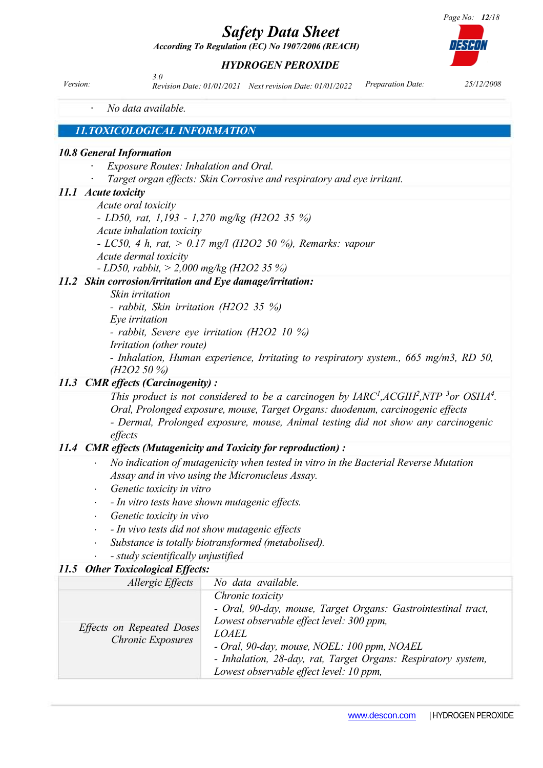*According To Regulation (EC) No 1907/2006 (REACH)*

### *HYDROGEN PEROXIDE*

*Version: Preparation Date: 25/12/2008 Revision Date: 01/01/2021 Next revision Date: 01/01/20223.0* 

· *No data available.*

### *11.TOXICOLOGICAL INFORMATION*

### *10.8 General Information*

- · *Exposure Routes: Inhalation and Oral.*
- · *Target organ effects: Skin Corrosive and respiratory and eye irritant.*

### *11.1 Acute toxicity*

*Acute oral toxicity* 

*- LD50, rat, 1,193 - 1,270 mg/kg (H2O2 35 %)*

- *Acute inhalation toxicity*
- *- LC50, 4 h, rat, > 0.17 mg/l (H2O2 50 %), Remarks: vapour*
- *Acute dermal toxicity*
- *- LD50, rabbit, > 2,000 mg/kg (H2O2 35 %)*

### *11.2 Skin corrosion/irritation and Eye damage/irritation:*

*Skin irritation* 

*- rabbit, Skin irritation (H2O2 35 %)*

*Eye irritation*

*- rabbit, Severe eye irritation (H2O2 10 %)*

*Irritation (other route)*

*- Inhalation, Human experience, Irritating to respiratory system., 665 mg/m3, RD 50, (H2O2 50 %)*

### *11.3 CMR effects (Carcinogenity) :*

*This product is not considered to be a carcinogen by*  $IARC<sup>1</sup>, ACGIH<sup>2</sup>, NTP<sup>3</sup> or OSHA<sup>4</sup>.$ *Oral, Prolonged exposure, mouse, Target Organs: duodenum, carcinogenic effects - Dermal, Prolonged exposure, mouse, Animal testing did not show any carcinogenic effects*

### *11.4 CMR effects (Mutagenicity and Toxicity for reproduction) :*

- *No indication of mutagenicity when tested in vitro in the Bacterial Reverse Mutation Assay and in vivo using the Micronucleus Assay.*
- *Genetic toxicity in vitro*
- *- In vitro tests have shown mutagenic effects.*
- *Genetic toxicity in vivo*
- *- In vivo tests did not show mutagenic effects*
- *Substance is totally biotransformed (metabolised).*
- *- study scientifically unjustified*

### *11.5 Other Toxicological Effects:*

| Allergic Effects                                      | No data available.                                                                                                                                                                                                                                                                                       |
|-------------------------------------------------------|----------------------------------------------------------------------------------------------------------------------------------------------------------------------------------------------------------------------------------------------------------------------------------------------------------|
| Effects on Repeated Doses<br><b>Chronic Exposures</b> | Chronic toxicity<br>- Oral, 90-day, mouse, Target Organs: Gastrointestinal tract,<br>Lowest observable effect level: 300 ppm,<br><b>LOAEL</b><br>- Oral, 90-day, mouse, NOEL: 100 ppm, NOAEL<br>- Inhalation, 28-day, rat, Target Organs: Respiratory system,<br>Lowest observable effect level: 10 ppm, |

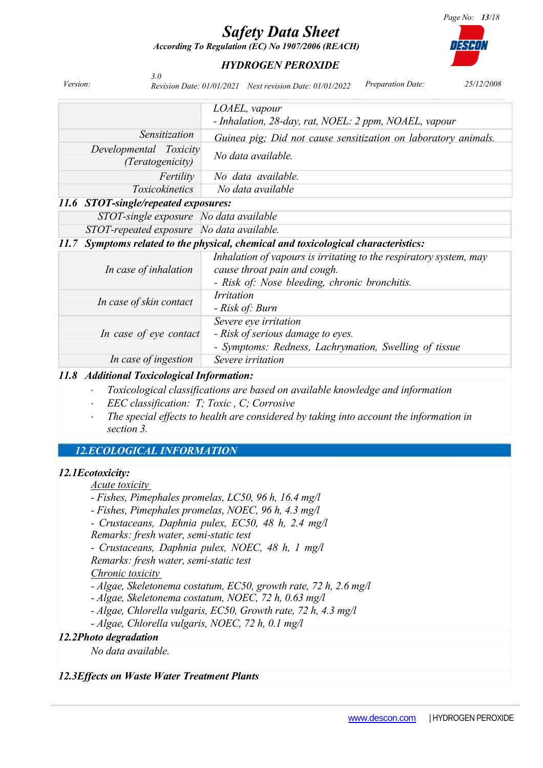*According To Regulation (EC) No 1907/2006 (REACH)*



### *HYDROGEN PEROXIDE*

| Version:                                                                              | 3.0                                               | <b>Preparation Date:</b><br>25/12/2008<br>Revision Date: 01/01/2021 Next revision Date: 01/01/2022                                                  |  |  |  |  |
|---------------------------------------------------------------------------------------|---------------------------------------------------|-----------------------------------------------------------------------------------------------------------------------------------------------------|--|--|--|--|
|                                                                                       |                                                   | LOAEL, vapour<br>- Inhalation, 28-day, rat, NOEL: 2 ppm, NOAEL, vapour                                                                              |  |  |  |  |
|                                                                                       | Sensitization                                     | Guinea pig; Did not cause sensitization on laboratory animals.                                                                                      |  |  |  |  |
|                                                                                       | Developmental Toxicity<br><i>(Teratogenicity)</i> | No data available.                                                                                                                                  |  |  |  |  |
|                                                                                       | Fertility                                         | No data available.                                                                                                                                  |  |  |  |  |
|                                                                                       | Toxicokinetics                                    | No data available                                                                                                                                   |  |  |  |  |
|                                                                                       | 11.6 STOT-single/repeated exposures:              |                                                                                                                                                     |  |  |  |  |
|                                                                                       | STOT-single exposure No data available            |                                                                                                                                                     |  |  |  |  |
|                                                                                       | STOT-repeated exposure No data available.         |                                                                                                                                                     |  |  |  |  |
| Symptoms related to the physical, chemical and toxicological characteristics:<br>11.7 |                                                   |                                                                                                                                                     |  |  |  |  |
|                                                                                       | In case of inhalation                             | Inhalation of vapours is irritating to the respiratory system, may<br>cause throat pain and cough.<br>- Risk of: Nose bleeding, chronic bronchitis. |  |  |  |  |
|                                                                                       | In case of skin contact                           | <i>Irritation</i><br>- Risk of: Burn                                                                                                                |  |  |  |  |
|                                                                                       | In case of eye contact                            | Severe eye irritation<br>- Risk of serious damage to eyes.<br>- Symptoms: Redness, Lachrymation, Swelling of tissue                                 |  |  |  |  |
|                                                                                       | In case of ingestion                              | Severe irritation                                                                                                                                   |  |  |  |  |

### *11.8 Additional Toxicological Information:*

- *Toxicological classifications are based on available knowledge and information*
- *EEC classification: T; Toxic , C; Corrosive*
- *The special effects to health are considered by taking into account the information in section 3.*

### *12.ECOLOGICAL INFORMATION*

### *12.1Ecotoxicity:*

*Acute toxicity* 

- *- Fishes, Pimephales promelas, LC50, 96 h, 16.4 mg/l*
- *- Fishes, Pimephales promelas, NOEC, 96 h, 4.3 mg/l*
- *- Crustaceans, Daphnia pulex, EC50, 48 h, 2.4 mg/l Remarks: fresh water, semi-static test*
- *- Crustaceans, Daphnia pulex, NOEC, 48 h, 1 mg/l*

*Remarks: fresh water, semi-static test*

*Chronic toxicity*

- *- Algae, Skeletonema costatum, EC50, growth rate, 72 h, 2.6 mg/l*
- *- Algae, Skeletonema costatum, NOEC, 72 h, 0.63 mg/l*
- *- Algae, Chlorella vulgaris, EC50, Growth rate, 72 h, 4.3 mg/l*
- *- Algae, Chlorella vulgaris, NOEC, 72 h, 0.1 mg/l*

### *12.2Photo degradation*

*No data available.* 

### *12.3Effects on Waste Water Treatment Plants*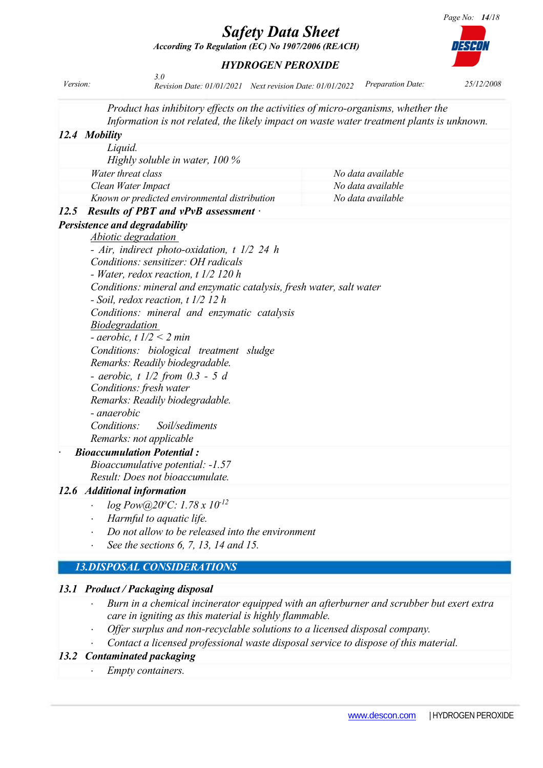*HYDROGEN PEROXIDE*

*According To Regulation (EC) No 1907/2006 (REACH)*

*3.0* 

|             | Product has inhibitory effects on the activities of micro-organisms, whether the                                                                                                                                                                                                                                                                                                                                                                                                                                                                                                                             |                                                                                           |
|-------------|--------------------------------------------------------------------------------------------------------------------------------------------------------------------------------------------------------------------------------------------------------------------------------------------------------------------------------------------------------------------------------------------------------------------------------------------------------------------------------------------------------------------------------------------------------------------------------------------------------------|-------------------------------------------------------------------------------------------|
|             | 12.4 Mobility                                                                                                                                                                                                                                                                                                                                                                                                                                                                                                                                                                                                | Information is not related, the likely impact on waste water treatment plants is unknown. |
|             | Liquid.                                                                                                                                                                                                                                                                                                                                                                                                                                                                                                                                                                                                      |                                                                                           |
|             | Highly soluble in water, 100 %                                                                                                                                                                                                                                                                                                                                                                                                                                                                                                                                                                               |                                                                                           |
|             | Water threat class                                                                                                                                                                                                                                                                                                                                                                                                                                                                                                                                                                                           | No data available                                                                         |
|             | Clean Water Impact                                                                                                                                                                                                                                                                                                                                                                                                                                                                                                                                                                                           | No data available                                                                         |
|             | Known or predicted environmental distribution                                                                                                                                                                                                                                                                                                                                                                                                                                                                                                                                                                | No data available                                                                         |
| <i>12.5</i> | Results of PBT and $vPvB$ assessment $\cdot$                                                                                                                                                                                                                                                                                                                                                                                                                                                                                                                                                                 |                                                                                           |
|             | Persistence and degradability                                                                                                                                                                                                                                                                                                                                                                                                                                                                                                                                                                                |                                                                                           |
|             | Abiotic degradation                                                                                                                                                                                                                                                                                                                                                                                                                                                                                                                                                                                          |                                                                                           |
|             | - Air, indirect photo-oxidation, t 1/2 24 h<br>Conditions: sensitizer: OH radicals<br>- Water, redox reaction, t 1/2 120 h<br>Conditions: mineral and enzymatic catalysis, fresh water, salt water<br>- Soil, redox reaction, $t$ 1/2 12 h<br>Conditions: mineral and enzymatic catalysis<br><b>Biodegradation</b><br>- aerobic, t $1/2 < 2$ min<br>Conditions: biological treatment sludge<br>Remarks: Readily biodegradable.<br>- aerobic, $t$ 1/2 from 0.3 - 5 d<br>Conditions: fresh water<br>Remarks: Readily biodegradable.<br>- anaerobic<br>Conditions:<br>Soil/sediments<br>Remarks: not applicable |                                                                                           |
|             | <b>Bioaccumulation Potential:</b>                                                                                                                                                                                                                                                                                                                                                                                                                                                                                                                                                                            |                                                                                           |
|             | Bioaccumulative potential: -1.57                                                                                                                                                                                                                                                                                                                                                                                                                                                                                                                                                                             |                                                                                           |
|             | Result: Does not bioaccumulate.                                                                                                                                                                                                                                                                                                                                                                                                                                                                                                                                                                              |                                                                                           |
|             | 12.6 Additional information                                                                                                                                                                                                                                                                                                                                                                                                                                                                                                                                                                                  |                                                                                           |
|             | $log Pow@20^{\circ}C: 1.78 \times 10^{12}$<br>$\bullet$                                                                                                                                                                                                                                                                                                                                                                                                                                                                                                                                                      |                                                                                           |
|             | Harmful to aquatic life.<br>$\bullet$                                                                                                                                                                                                                                                                                                                                                                                                                                                                                                                                                                        |                                                                                           |
|             | Do not allow to be released into the environment                                                                                                                                                                                                                                                                                                                                                                                                                                                                                                                                                             |                                                                                           |
|             | See the sections 6, 7, 13, 14 and 15.<br>$\ddot{\phantom{1}}$                                                                                                                                                                                                                                                                                                                                                                                                                                                                                                                                                |                                                                                           |
|             | <b>13.DISPOSAL CONSIDERATIONS</b>                                                                                                                                                                                                                                                                                                                                                                                                                                                                                                                                                                            |                                                                                           |
|             |                                                                                                                                                                                                                                                                                                                                                                                                                                                                                                                                                                                                              |                                                                                           |

### *13.1 Product / Packaging disposal*

- *Burn in a chemical incinerator equipped with an afterburner and scrubber but exert extra care in igniting as this material is highly flammable.*
- *Offer surplus and non-recyclable solutions to a licensed disposal company.*
- *Contact a licensed professional waste disposal service to dispose of this material.*

### *13.2 Contaminated packaging*

*Empty containers.*



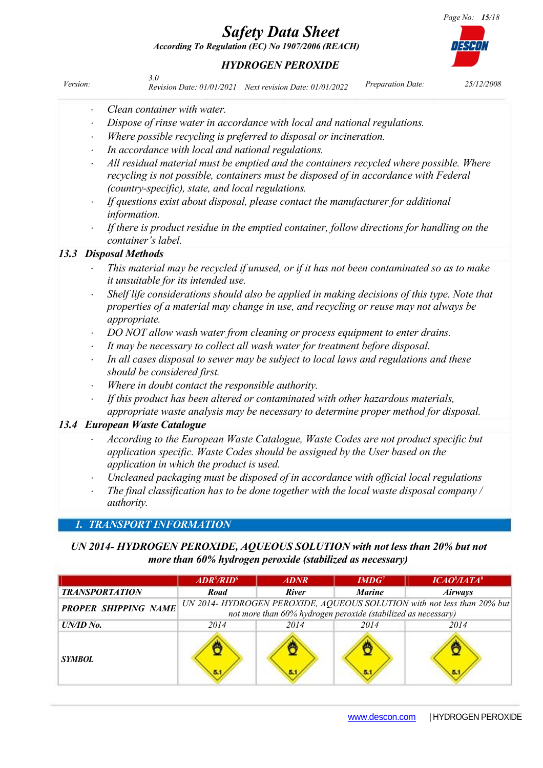- *DO NOT allow wash water from cleaning or process equipment to enter drains.*
- *It may be necessary to collect all wash water for treatment before disposal.*
- *In all cases disposal to sewer may be subject to local laws and regulations and these should be considered first.*
- *Where in doubt contact the responsible authority.*
- *If this product has been altered or contaminated with other hazardous materials, appropriate waste analysis may be necessary to determine proper method for disposal.*

### *13.4 European Waste Catalogue*

- *According to the European Waste Catalogue, Waste Codes are not product specific but application specific. Waste Codes should be assigned by the User based on the application in which the product is used.*
- *Uncleaned packaging must be disposed of in accordance with official local regulations*
- *The final classification has to be done together with the local waste disposal company / authority.*

### *1. TRANSPORT INFORMATION*

*UN 2014- HYDROGEN PEROXIDE, AQUEOUS SOLUTION with not less than 20% but not more than 60% hydrogen peroxide (stabilized as necessary)*

|                             | ADR <sup>5</sup> /RID <sup>6</sup>                                      | <i><b>ADNR</b></i> | $IMDG^7$      | $ICAO^8/IATA^9$ |
|-----------------------------|-------------------------------------------------------------------------|--------------------|---------------|-----------------|
| <b>TRANSPORTATION</b>       | Road                                                                    | <b>River</b>       | <b>Marine</b> | <i>Airways</i>  |
| <b>PROPER SHIPPING NAME</b> | UN 2014- HYDROGEN PEROXIDE, AQUEOUS SOLUTION with not less than 20% but |                    |               |                 |
|                             | not more than 60% hydrogen peroxide (stabilized as necessary)           |                    |               |                 |
| UN/ID No.                   | 2014                                                                    | 2014               | 2014          | 2014            |
| <i><b>SYMBOL</b></i>        |                                                                         |                    |               |                 |

### *HYDROGEN PEROXIDE*

*According To Regulation (EC) No 1907/2006 (REACH)*

*Safety Data Sheet*

| Version: |                             | Revision Date: 01/01/2021 Next revision Date: 01/01/2022 | <i>Preparation Date:</i> | 25/12/2008 |
|----------|-----------------------------|----------------------------------------------------------|--------------------------|------------|
|          | Clean container with water. |                                                          |                          |            |

- *Dispose of rinse water in accordance with local and national regulations. Where possible recycling is preferred to disposal or incineration.*
- *In accordance with local and national regulations.*
- *All residual material must be emptied and the containers recycled where possible. Where recycling is not possible, containers must be disposed of in accordance with Federal (country-specific), state, and local regulations.*
- *If questions exist about disposal, please contact the manufacturer for additional information.*
- *If there is product residue in the emptied container, follow directions for handling on the container's label.*

### *13.3 Disposal Methods*

- *This material may be recycled if unused, or if it has not been contaminated so as to make it unsuitable for its intended use.*
- *Shelf life considerations should also be applied in making decisions of this type. Note that properties of a material may change in use, and recycling or reuse may not always be appropriate.*
	-
- 
- 
- 

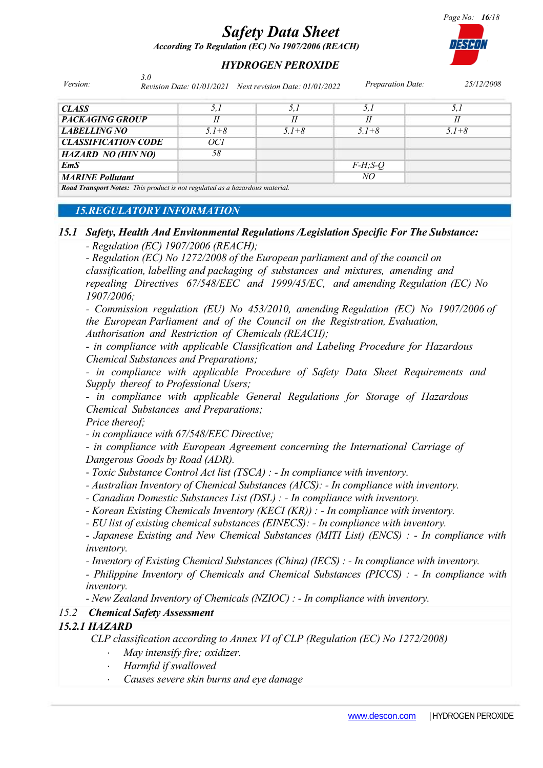*According To Regulation (EC) No 1907/2006 (REACH)*

### *HYDROGEN PEROXIDE*

*Version: Preparation Date: 25/12/2008 Revision Date: 01/01/2021 Next revision Date: 01/01/20223.0* 

| <b>CLASS</b>                                                                       | 5,1                        | 5.1       | 5,1         | 5.1                        |
|------------------------------------------------------------------------------------|----------------------------|-----------|-------------|----------------------------|
| <b>PACKAGING GROUP</b>                                                             | $\boldsymbol{\mathit{II}}$ |           |             | $\boldsymbol{\mathit{II}}$ |
| <b>LABELLING NO</b>                                                                | $5.1 + 8$                  | $5.1 + 8$ | $5.1 + 8$   | $5.1 + 8$                  |
| <b>CLASSIFICATION CODE</b>                                                         | OCI                        |           |             |                            |
| <b>HAZARD NO (HIN NO)</b>                                                          | 58                         |           |             |                            |
| EmS                                                                                |                            |           | $F-H$ ; S-Q |                            |
| <b>MARINE Pollutant</b>                                                            |                            |           | NO          |                            |
| <b>Road Transport Notes:</b> This product is not regulated as a hazardous material |                            |           |             |                            |

*Road Transport Notes: This product is not regulated as a hazardous material.* 

### *15.REGULATORY INFORMATION*

### *15.1 Safety, Health And Envitonmental Regulations /Legislation Specific For The Substance:*

*- Regulation (EC) 1907/2006 (REACH);*

*- Regulation (EC) No 1272/2008 of the European parliament and of the council on*

*classification, labelling and packaging of substances and mixtures, amending and repealing Directives 67/548/EEC and 1999/45/EC, and amending Regulation (EC) No 1907/2006;*

*- Commission regulation (EU) No 453/2010, amending Regulation (EC) No 1907/2006 of the European Parliament and of the Council on the Registration, Evaluation, Authorisation and Restriction of Chemicals (REACH);*

*- in compliance with applicable Classification and Labeling Procedure for Hazardous Chemical Substances and Preparations;*

*- in compliance with applicable Procedure of Safety Data Sheet Requirements and Supply thereof to Professional Users;*

*- in compliance with applicable General Regulations for Storage of Hazardous Chemical Substances and Preparations;*

*Price thereof;*

*- in compliance with 67/548/EEC Directive;*

*- in compliance with European Agreement concerning the International Carriage of Dangerous Goods by Road (ADR).*

- *Toxic Substance Control Act list (TSCA) : - In compliance with inventory.*

*- Australian Inventory of Chemical Substances (AICS): - In compliance with inventory.*

*- Canadian Domestic Substances List (DSL) : - In compliance with inventory.*

*- Korean Existing Chemicals Inventory (KECI (KR)) : - In compliance with inventory.*

*- EU list of existing chemical substances (EINECS): - In compliance with inventory.*

*- Japanese Existing and New Chemical Substances (MITI List) (ENCS) : - In compliance with inventory.*

*- Inventory of Existing Chemical Substances (China) (IECS) : - In compliance with inventory.*

*- Philippine Inventory of Chemicals and Chemical Substances (PICCS) : - In compliance with inventory.*

*- New Zealand Inventory of Chemicals (NZIOC) : - In compliance with inventory.*

### *15.2 Chemical Safety Assessment*

### *15.2.1 HAZARD*

*CLP classification according to Annex VI of CLP (Regulation (EC) No 1272/2008)*

- *May intensify fire; oxidizer.*
- *Harmful if swallowed*
- *Causes severe skin burns and eye damage*

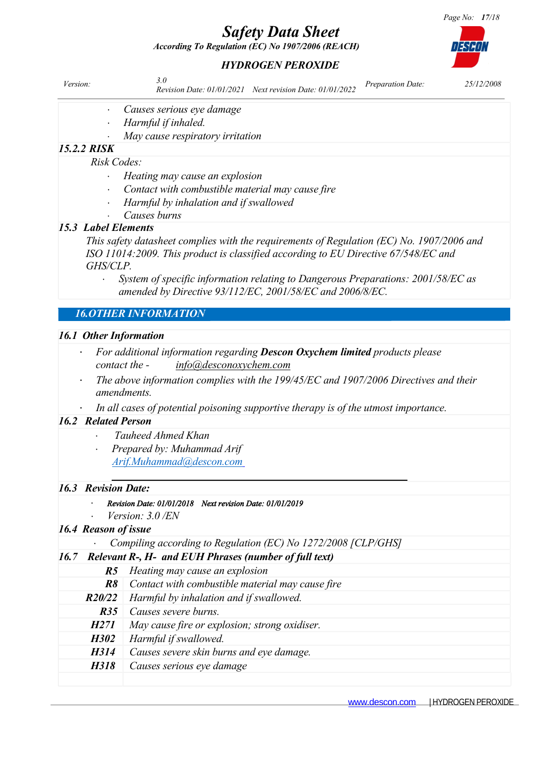*According To Regulation (EC) No 1907/2006 (REACH)*

### *HYDROGEN PEROXIDE*

| Version: | Revision Date: 01/01/2021 Next revision Date: 01/01/2022 | Preparation Date: | 25/12/2008 |
|----------|----------------------------------------------------------|-------------------|------------|
|          |                                                          |                   |            |

- *Causes serious eye damage*
	- *Harmful if inhaled.*
	- *May cause respiratory irritation*

### *15.2.2 RISK*

#### *Risk Codes:*

- *Heating may cause an explosion*
- *Contact with combustible material may cause fire*
- *Harmful by inhalation and if swallowed*
- *Causes burns*

### *15.3 Label Elements*

*This safety datasheet complies with the requirements of Regulation (EC) No. 1907/2006 and ISO 11014:2009. This product is classified according to EU Directive 67/548/EC and GHS/CLP.* 

 *System of specific information relating to Dangerous Preparations: 2001/58/EC as amended by Directive 93/112/EC, 2001/58/EC and 2006/8/EC.* 

### *16.OTHER INFORMATION*

### *16.1 Other Information*

- *For additional information regarding Descon Oxychem limited products please contact the - info@desconoxychem.com*
- *The above information complies with the 199/45/EC and 1907/2006 Directives and their amendments.*
- *In all cases of potential poisoning supportive therapy is of the utmost importance.*

### *16.2 Related Person*

- *Tauheed Ahmed Khan*
- *Prepared by: Muhammad Arif [Arif.Muhammad@descon.com](mailto:Arif.Muhammad@descon.com)*

### *16.3 Revision Date:*

### *Revision Date: 01/01/2018 Next revision Date: 01/01/2019*

*Version: 3.0 /EN*

### *16.4 Reason of issue*

### *Compiling according to Regulation (EC) No 1272/2008 [CLP/GHS]*

|  |  |  | 16.7 Relevant R-, H- and EUH Phrases (number of full text) |
|--|--|--|------------------------------------------------------------|
|--|--|--|------------------------------------------------------------|

|             | <b>R5</b> Heating may cause an explosion              |
|-------------|-------------------------------------------------------|
| R8          | Contact with combustible material may cause fire      |
|             | <b>R20/22</b> Harmful by inhalation and if swallowed. |
| R35         | Causes severe burns.                                  |
| H271        | May cause fire or explosion; strong oxidiser.         |
| <i>H302</i> | Harmful if swallowed.                                 |
| H314        | Causes severe skin burns and eye damage.              |
| H318        | Causes serious eye damage                             |
|             |                                                       |